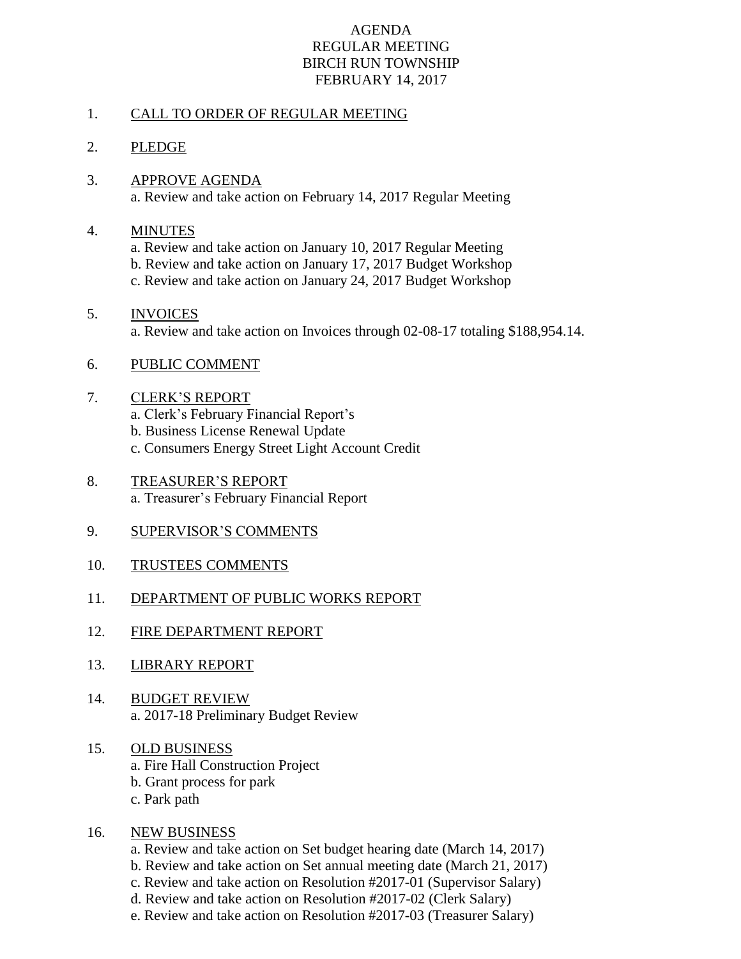## AGENDA REGULAR MEETING BIRCH RUN TOWNSHIP FEBRUARY 14, 2017

## 1. CALL TO ORDER OF REGULAR MEETING

## 2. PLEDGE

3. APPROVE AGENDA a. Review and take action on February 14, 2017 Regular Meeting

#### 4. MINUTES

- a. Review and take action on January 10, 2017 Regular Meeting
- b. Review and take action on January 17, 2017 Budget Workshop
- c. Review and take action on January 24, 2017 Budget Workshop

# 5. INVOICES a. Review and take action on Invoices through 02-08-17 totaling \$188,954.14.

### 6. PUBLIC COMMENT

### 7. CLERK'S REPORT

- a. Clerk's February Financial Report's
- b. Business License Renewal Update
- c. Consumers Energy Street Light Account Credit
- 8. TREASURER'S REPORT a. Treasurer's February Financial Report
- 9. SUPERVISOR'S COMMENTS
- 10. TRUSTEES COMMENTS
- 11. DEPARTMENT OF PUBLIC WORKS REPORT
- 12. FIRE DEPARTMENT REPORT
- 13. LIBRARY REPORT
- 14. BUDGET REVIEW a. 2017-18 Preliminary Budget Review

# 15. OLD BUSINESS

- a. Fire Hall Construction Project
- b. Grant process for park
- c. Park path

### 16. NEW BUSINESS

- a. Review and take action on Set budget hearing date (March 14, 2017)
- b. Review and take action on Set annual meeting date (March 21, 2017)
- c. Review and take action on Resolution #2017-01 (Supervisor Salary)
- d. Review and take action on Resolution #2017-02 (Clerk Salary)
- e. Review and take action on Resolution #2017-03 (Treasurer Salary)